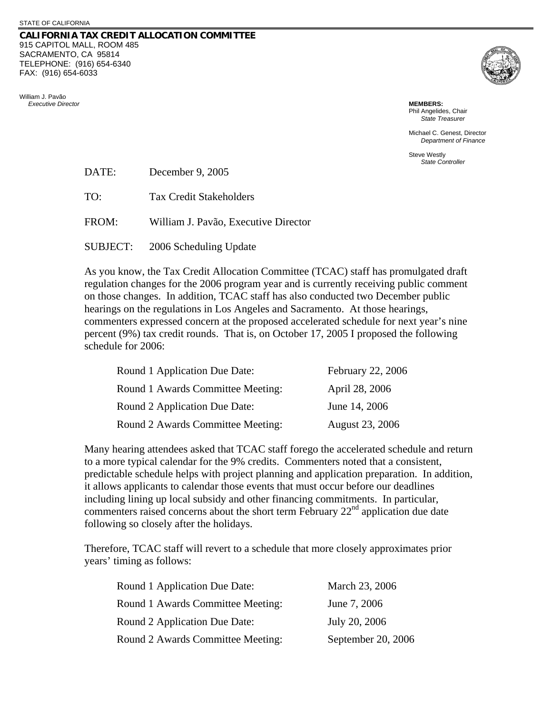## **CALIFORNIA TAX CREDIT ALLOCATION COMMITTEE** 915 CAPITOL MALL, ROOM 485 SACRAMENTO, CA 95814 TELEPHONE: (916) 654-6340 FAX: (916) 654-6033

William J. Pavão  *Executive Director* **MEMBERS:**



Phil Angelides, Chair *State Treasurer*

Michael C. Genest, Director *Department of Finance* 

Steve Westly *State Controller* 

DATE: December 9, 2005

TO: Tax Credit Stakeholders

FROM: William J. Pavão, Executive Director

SUBJECT: 2006 Scheduling Update

As you know, the Tax Credit Allocation Committee (TCAC) staff has promulgated draft regulation changes for the 2006 program year and is currently receiving public comment on those changes. In addition, TCAC staff has also conducted two December public hearings on the regulations in Los Angeles and Sacramento. At those hearings, commenters expressed concern at the proposed accelerated schedule for next year's nine percent (9%) tax credit rounds. That is, on October 17, 2005 I proposed the following schedule for 2006:

| Round 1 Application Due Date:     | February 22, 2006 |
|-----------------------------------|-------------------|
| Round 1 Awards Committee Meeting: | April 28, 2006    |
| Round 2 Application Due Date:     | June 14, 2006     |
| Round 2 Awards Committee Meeting: | August 23, 2006   |

Many hearing attendees asked that TCAC staff forego the accelerated schedule and return to a more typical calendar for the 9% credits. Commenters noted that a consistent, predictable schedule helps with project planning and application preparation. In addition, it allows applicants to calendar those events that must occur before our deadlines including lining up local subsidy and other financing commitments. In particular, commenters raised concerns about the short term February 22<sup>nd</sup> application due date following so closely after the holidays.

Therefore, TCAC staff will revert to a schedule that more closely approximates prior years' timing as follows:

| Round 1 Application Due Date:     | March 23, 2006     |
|-----------------------------------|--------------------|
| Round 1 Awards Committee Meeting: | June 7, 2006       |
| Round 2 Application Due Date:     | July 20, 2006      |
| Round 2 Awards Committee Meeting: | September 20, 2006 |